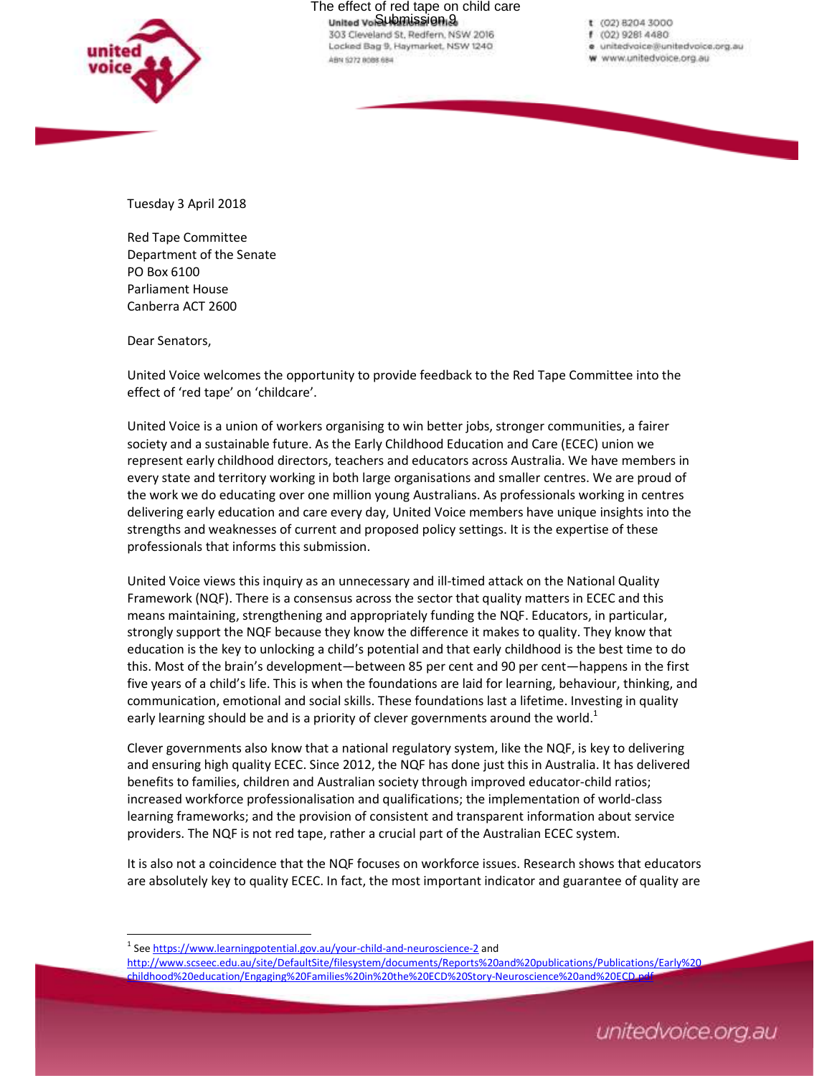

The effect of red tape on child care<br>united vesubmission 9 303 Cleveland St. Redfern, NSW 2016 Locked Bag 9, Haymarket, NSW 1240

ABN 5272 8088 684

- t (02) 8204 3000
- f (02) 9281 4480
- e unitedvoice@unitedvoice.org.au
- w www.unitedvoice.org.au

Tuesday 3 April 2018

Red Tape Committee Department of the Senate PO Box 6100 Parliament House Canberra ACT 2600

Dear Senators,

l,

United Voice welcomes the opportunity to provide feedback to the Red Tape Committee into the effect of 'red tape' on 'childcare'.

United Voice is a union of workers organising to win better jobs, stronger communities, a fairer society and a sustainable future. As the Early Childhood Education and Care (ECEC) union we represent early childhood directors, teachers and educators across Australia. We have members in every state and territory working in both large organisations and smaller centres. We are proud of the work we do educating over one million young Australians. As professionals working in centres delivering early education and care every day, United Voice members have unique insights into the strengths and weaknesses of current and proposed policy settings. It is the expertise of these professionals that informs this submission.

United Voice views this inquiry as an unnecessary and ill-timed attack on the National Quality Framework (NQF). There is a consensus across the sector that quality matters in ECEC and this means maintaining, strengthening and appropriately funding the NQF. Educators, in particular, strongly support the NQF because they know the difference it makes to quality. They know that education is the key to unlocking a child's potential and that early childhood is the best time to do this. Most of the brain's development—between 85 per cent and 90 per cent—happens in the first five years of a child's life. This is when the foundations are laid for learning, behaviour, thinking, and communication, emotional and social skills. These foundations last a lifetime. Investing in quality early learning should be and is a priority of clever governments around the world.<sup>1</sup>

Clever governments also know that a national regulatory system, like the NQF, is key to delivering and ensuring high quality ECEC. Since 2012, the NQF has done just this in Australia. It has delivered benefits to families, children and Australian society through improved educator-child ratios; increased workforce professionalisation and qualifications; the implementation of world-class learning frameworks; and the provision of consistent and transparent information about service providers. The NQF is not red tape, rather a crucial part of the Australian ECEC system.

It is also not a coincidence that the NQF focuses on workforce issues. Research shows that educators are absolutely key to quality ECEC. In fact, the most important indicator and guarantee of quality are

<sup>&</sup>lt;sup>1</sup> See https://www.learningpotential.gov.au/your-child-and-neuroscience-2 and

http://www.scseec.edu.au/site/DefaultSite/filesystem/documents/Reports%20and%20publications/Publications/Early%20 childhood%20education/Engaging%20Families%20in%20the%20ECD%20Story-Neuroscience%20and%20ECD.pdf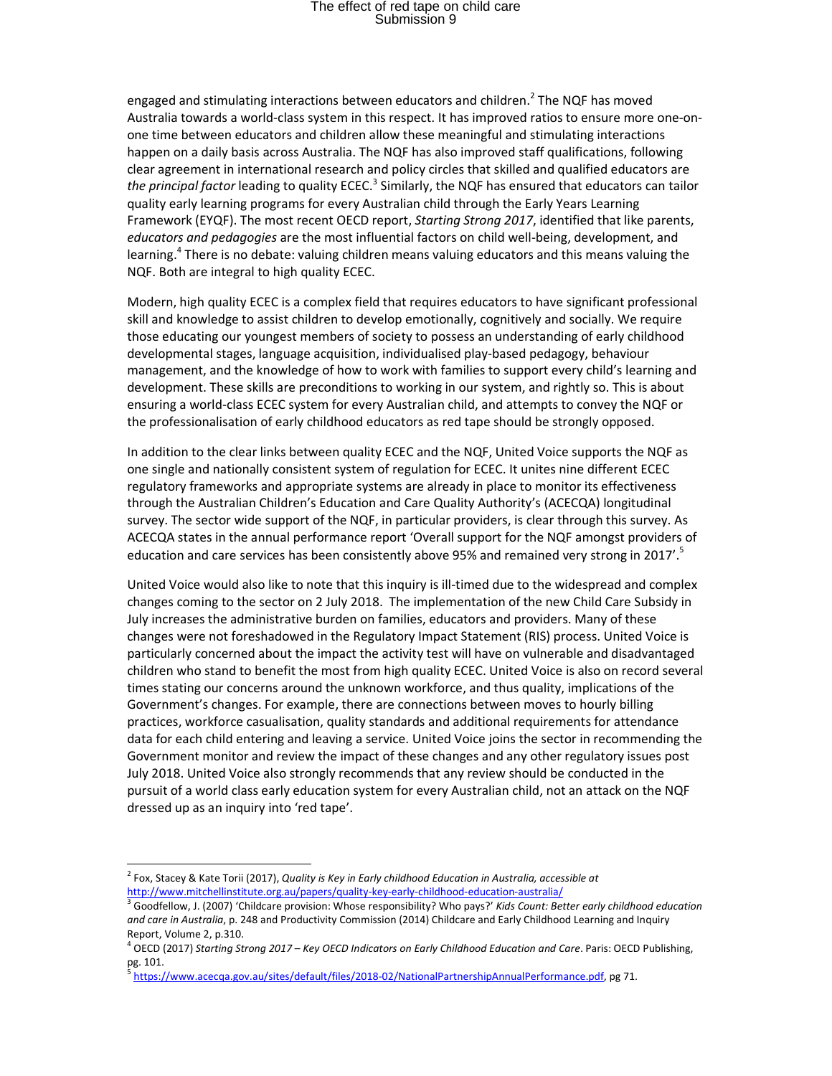## The effect of red tape on child care Submission 9

engaged and stimulating interactions between educators and children.<sup>2</sup> The NQF has moved Australia towards a world-class system in this respect. It has improved ratios to ensure more one-onone time between educators and children allow these meaningful and stimulating interactions happen on a daily basis across Australia. The NQF has also improved staff qualifications, following clear agreement in international research and policy circles that skilled and qualified educators are the principal factor leading to quality ECEC.<sup>3</sup> Similarly, the NQF has ensured that educators can tailor quality early learning programs for every Australian child through the Early Years Learning Framework (EYQF). The most recent OECD report, *Starting Strong 2017*, identified that like parents, *educators and pedagogies* are the most influential factors on child well-being, development, and learning.<sup>4</sup> There is no debate: valuing children means valuing educators and this means valuing the NQF. Both are integral to high quality ECEC.

Modern, high quality ECEC is a complex field that requires educators to have significant professional skill and knowledge to assist children to develop emotionally, cognitively and socially. We require those educating our youngest members of society to possess an understanding of early childhood developmental stages, language acquisition, individualised play-based pedagogy, behaviour management, and the knowledge of how to work with families to support every child's learning and development. These skills are preconditions to working in our system, and rightly so. This is about ensuring a world-class ECEC system for every Australian child, and attempts to convey the NQF or the professionalisation of early childhood educators as red tape should be strongly opposed.

In addition to the clear links between quality ECEC and the NQF, United Voice supports the NQF as one single and nationally consistent system of regulation for ECEC. It unites nine different ECEC regulatory frameworks and appropriate systems are already in place to monitor its effectiveness through the Australian Children's Education and Care Quality Authority's (ACECQA) longitudinal survey. The sector wide support of the NQF, in particular providers, is clear through this survey. As ACECQA states in the annual performance report 'Overall support for the NQF amongst providers of education and care services has been consistently above 95% and remained very strong in 2017'.

United Voice would also like to note that this inquiry is ill-timed due to the widespread and complex changes coming to the sector on 2 July 2018. The implementation of the new Child Care Subsidy in July increases the administrative burden on families, educators and providers. Many of these changes were not foreshadowed in the Regulatory Impact Statement (RIS) process. United Voice is particularly concerned about the impact the activity test will have on vulnerable and disadvantaged children who stand to benefit the most from high quality ECEC. United Voice is also on record several times stating our concerns around the unknown workforce, and thus quality, implications of the Government's changes. For example, there are connections between moves to hourly billing practices, workforce casualisation, quality standards and additional requirements for attendance data for each child entering and leaving a service. United Voice joins the sector in recommending the Government monitor and review the impact of these changes and any other regulatory issues post July 2018. United Voice also strongly recommends that any review should be conducted in the pursuit of a world class early education system for every Australian child, not an attack on the NQF dressed up as an inquiry into 'red tape'.

l,

<sup>2</sup> Fox, Stacey & Kate Torii (2017), *Quality is Key in Early childhood Education in Australia, accessible at*  http://www.mitchellinstitute.org.au/papers/quality-key-early-childhood-education-australia/

<sup>3</sup> Goodfellow, J. (2007) 'Childcare provision: Whose responsibility? Who pays?' *Kids Count: Better early childhood education and care in Australia*, p. 248 and Productivity Commission (2014) Childcare and Early Childhood Learning and Inquiry Report, Volume 2, p.310.

<sup>4</sup> OECD (2017) *Starting Strong 2017 – Key OECD Indicators on Early Childhood Education and Care*. Paris: OECD Publishing, pg. 101.<br><sup>5</sup> https:/

https://www.acecqa.gov.au/sites/default/files/2018-02/NationalPartnershipAnnualPerformance.pdf, pg 71.